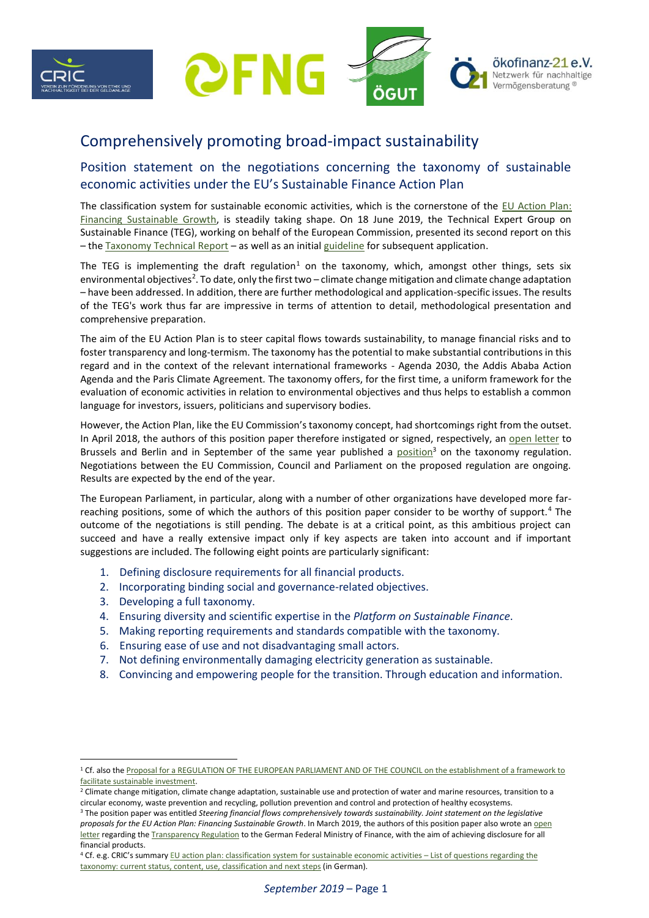

# Comprehensively promoting broad-impact sustainability

# Position statement on the negotiations concerning the taxonomy of sustainable economic activities under the EU's Sustainable Finance Action Plan

The classification system for sustainable economic activities, which is the cornerstone of the [EU Action Plan:](https://eur-lex.europa.eu/legal-content/EN/TXT/PDF/?uri=CELEX:52018DC0097&from=EN)  [Financing Sustainable Growth,](https://eur-lex.europa.eu/legal-content/EN/TXT/PDF/?uri=CELEX:52018DC0097&from=EN) is steadily taking shape. On 18 June 2019, the Technical Expert Group on Sustainable Finance (TEG), working on behalf of the European Commission, presented its second report on this – the [Taxonomy Technical Report](https://ec.europa.eu/info/sites/info/files/business_economy_euro/banking_and_finance/documents/190618-sustainable-finance-teg-report-taxonomy_en.pdf) – as well as an initial [guideline](https://ec.europa.eu/info/sites/info/files/business_economy_euro/banking_and_finance/documents/190618-sustainable-finance-teg-report-using-the-taxonomy_en.pdf) for subsequent application.

The TEG is implementing the draft regulation<sup>1</sup> on the taxonomy, which, amongst other things, sets six environmental objectives<sup>2</sup>. To date, only the first two – climate change mitigation and climate change adaptation – have been addressed. In addition, there are further methodological and application-specific issues. The results of the TEG's work thus far are impressive in terms of attention to detail, methodological presentation and comprehensive preparation.

The aim of the EU Action Plan is to steer capital flows towards sustainability, to manage financial risks and to foster transparency and long-termism. The taxonomy has the potential to make substantial contributions in this regard and in the context of the relevant international frameworks - Agenda 2030, the Addis Ababa Action Agenda and the Paris Climate Agreement. The taxonomy offers, for the first time, a uniform framework for the evaluation of economic activities in relation to environmental objectives and thus helps to establish a common language for investors, issuers, politicians and supervisory bodies.

However, the Action Plan, like the EU Commission's taxonomy concept, had shortcomings right from the outset. In April 2018, the authors of this position paper therefore instigated or signed, respectively, an [open letter](https://www.cric-online.org/images/individual_upload/presse/Offener_Brief_zum_Thema_Sustainable_Finance.pdf) to Brussels and Berlin and in September of the same year published a [position](https://www.cric-online.org/images/individual_upload/cric/Gemeinsame_Stellungnahme_Legislativpakete_EU_Aktionsplan_2018_09_24.pdf)<sup>3</sup> on the taxonomy regulation. Negotiations between the EU Commission, Council and Parliament on the proposed regulation are ongoing. Results are expected by the end of the year.

The European Parliament, in particular, along with a number of other organizations have developed more farreaching positions, some of which the authors of this position paper consider to be worthy of support.<sup>4</sup> The outcome of the negotiations is still pending. The debate is at a critical point, as this ambitious project can succeed and have a really extensive impact only if key aspects are taken into account and if important suggestions are included. The following eight points are particularly significant:

- 1. Defining disclosure requirements for all financial products.
- 2. Incorporating binding social and governance-related objectives.
- 3. Developing a full taxonomy.
- 4. Ensuring diversity and scientific expertise in the *Platform on Sustainable Finance*.
- 5. Making reporting requirements and standards compatible with the taxonomy.
- 6. Ensuring ease of use and not disadvantaging small actors.
- 7. Not defining environmentally damaging electricity generation as sustainable.
- 8. Convincing and empowering people for the transition. Through education and information.

<sup>1</sup> Cf. also th[e Proposal for a REGULATION OF THE EUROPEAN PARLIAMENT AND OF THE COUNCIL on the establishment of a framework to](https://eur-lex.europa.eu/legal-content/EN/TXT/PDF/?uri=CELEX:52018PC0353&from=EN)  [facilitate sustainable investment.](https://eur-lex.europa.eu/legal-content/EN/TXT/PDF/?uri=CELEX:52018PC0353&from=EN)

<sup>&</sup>lt;sup>2</sup> Climate change mitigation, climate change adaptation, sustainable use and protection of water and marine resources, transition to a circular economy, waste prevention and recycling, pollution prevention and control and protection of healthy ecosystems.

<sup>3</sup> The position paper was entitled *Steering financial flows comprehensively towards sustainability. Joint statement on the legislative proposals for the EU Action Plan: Financing Sustainable Growth*. In March 2019, the authors of this position paper also wrote a[n open](https://www.suedwind-institut.de/files/Suedwind/Aus%20unseren%20Netzwerken/Unterstützung%20für%20ein%20ambitionierte%20Haltung%20der%20Bundesregierung%20im%20Trilog%20zu%20Thema%20Disclosure.pdf)  [letter](https://www.suedwind-institut.de/files/Suedwind/Aus%20unseren%20Netzwerken/Unterstützung%20für%20ein%20ambitionierte%20Haltung%20der%20Bundesregierung%20im%20Trilog%20zu%20Thema%20Disclosure.pdf) regarding th[e Transparency Regulation](https://eur-lex.europa.eu/legal-content/EN/TXT/PDF/?uri=CELEX:52018PC0354&from=EN) to the German Federal Ministry of Finance, with the aim of achieving disclosure for all financial products.

<sup>4</sup> Cf. e.g. CRIC's summary [EU action plan:](https://www.cric-online.org/images/CRIC/Fragenkatalog_TAXONOMIE_CRIC_Juli_2019.pdf) [classification system for sustainable economic activities](https://www.cric-online.org/images/CRIC/Fragenkatalog_TAXONOMIE_CRIC_Juli_2019.pdf) – List of questions regarding the [taxonomy:](https://www.cric-online.org/images/CRIC/Fragenkatalog_TAXONOMIE_CRIC_Juli_2019.pdf) [current status, content, use, classification and next steps](https://www.cric-online.org/images/CRIC/Fragenkatalog_TAXONOMIE_CRIC_Juli_2019.pdf) (in German).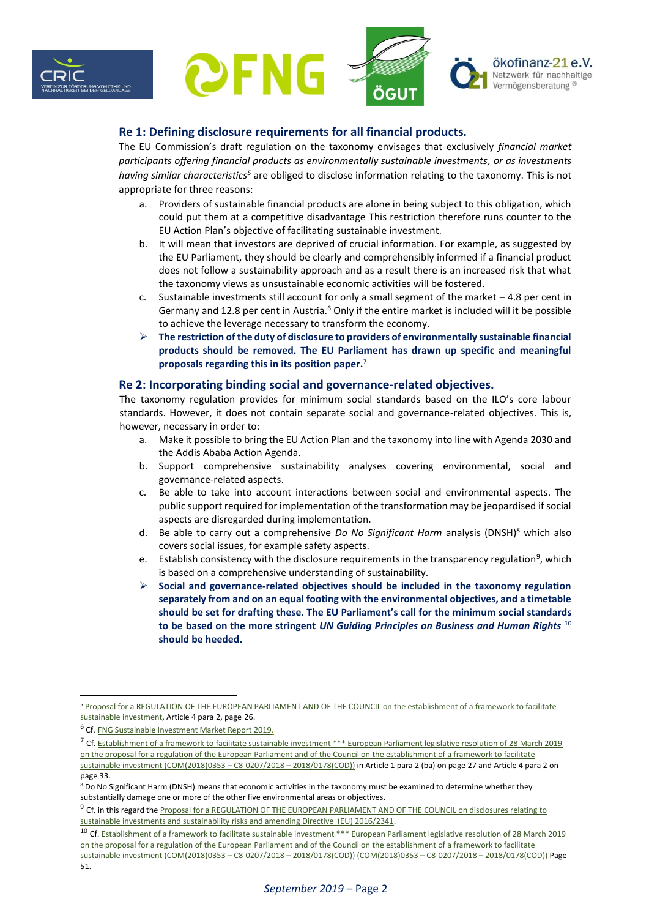



# **Re 1: Defining disclosure requirements for all financial products.**

The EU Commission's draft regulation on the taxonomy envisages that exclusively *financial market participants offering financial products as environmentally sustainable investments, or as investments having similar characteristics<sup>5</sup>* are obliged to disclose information relating to the taxonomy. This is not appropriate for three reasons:

- a. Providers of sustainable financial products are alone in being subject to this obligation, which could put them at a competitive disadvantage This restriction therefore runs counter to the EU Action Plan's objective of facilitating sustainable investment.
- b. It will mean that investors are deprived of crucial information. For example, as suggested by the EU Parliament, they should be clearly and comprehensibly informed if a financial product does not follow a sustainability approach and as a result there is an increased risk that what the taxonomy views as unsustainable economic activities will be fostered.
- c. Sustainable investments still account for only a small segment of the market  $-4.8$  per cent in Germany and 12.8 per cent in Austria.<sup>6</sup> Only if the entire market is included will it be possible to achieve the leverage necessary to transform the economy.
- ➢ **The restriction of the duty of disclosure to providers of environmentally sustainable financial products should be removed. The EU Parliament has drawn up specific and meaningful proposals regarding this in its position paper.**<sup>7</sup>

#### **Re 2: Incorporating binding social and governance-related objectives.**

The taxonomy regulation provides for minimum social standards based on the ILO's core labour standards. However, it does not contain separate social and governance-related objectives. This is, however, necessary in order to:

- a. Make it possible to bring the EU Action Plan and the taxonomy into line with Agenda 2030 and the Addis Ababa Action Agenda.
- b. Support comprehensive sustainability analyses covering environmental, social and governance-related aspects.
- c. Be able to take into account interactions between social and environmental aspects. The public support required for implementation of the transformation may be jeopardised if social aspects are disregarded during implementation.
- d. Be able to carry out a comprehensive *Do No Significant Harm* analysis (DNSH)<sup>8</sup> which also covers social issues, for example safety aspects.
- e. Establish consistency with the disclosure requirements in the transparency regulation<sup>9</sup>, which is based on a comprehensive understanding of sustainability.
- ➢ **Social and governance-related objectives should be included in the taxonomy regulation separately from and on an equal footing with the environmental objectives, and a timetable should be set for drafting these. The EU Parliament's call for the minimum social standards to be based on the more stringent** *UN Guiding Principles on Business and Human Rights* <sup>10</sup> **should be heeded.**

<sup>7</sup> Cf. Establishment of a framework to facilitate sustainable investment \*\*\* European Parliament legislative resolution of 28 March 2019 [on the proposal for a regulation of the European Parliament and of the Council on the establishment of a framework to facilitate](http://www.europarl.europa.eu/doceo/document/TA-8-2019-0325_EN.pdf)  [sustainable investment \(COM\(2018\)0353](http://www.europarl.europa.eu/doceo/document/TA-8-2019-0325_EN.pdf) – C8-0207/2018 – 2018/0178(COD)) in Article 1 para 2 (ba) on page 27 and Article 4 para 2 on

<sup>5</sup> [Proposal for a REGULATION OF THE EUROPEAN PARLIAMENT AND OF THE COUNCIL on the establishment of a framework to facilitate](https://eur-lex.europa.eu/legal-content/EN/TXT/PDF/?uri=CELEX:52018PC0353&from=EN)  [sustainable investment,](https://eur-lex.europa.eu/legal-content/EN/TXT/PDF/?uri=CELEX:52018PC0353&from=EN) Article 4 para 2, page 26.

<sup>&</sup>lt;sup>6</sup> Cf. **[FNG Sustainable Investment Market Report 2019.](https://www.forum-ng.org/images/stories/Publikationen/fng-marktbericht_2019.pdf)** 

page 33. <sup>8</sup> Do No Significant Harm (DNSH) means that economic activities in the taxonomy must be examined to determine whether they

substantially damage one or more of the other five environmental areas or objectives.

<sup>&</sup>lt;sup>9</sup> Cf. in this regard the <u>Proposal for a REGULATION OF THE EUROPEAN PARLIAMENT AND OF THE COUNCIL on disclosures relating to</u> [sustainable investments and sustainability risks and amending Directive \(EU\) 2016/2341.](https://eur-lex.europa.eu/legal-content/EN/TXT/PDF/?uri=CELEX:52018PC0354&from=EN)

<sup>&</sup>lt;sup>10</sup> Cf. Establishment of a framework to facilitate sustainable investment \*\*\* European Parliament legislative resolution of 28 March 2019 [on the proposal for a regulation of the European Parliament and of the Council on the establishment of a framework to facilitate](http://www.europarl.europa.eu/doceo/document/TA-8-2019-0325_EN.pdf)  [sustainable investment \(COM\(2018\)0353](http://www.europarl.europa.eu/doceo/document/TA-8-2019-0325_EN.pdf) – C8-0207/2018 – 2018/0178(COD)) (COM(2018)0353 – C8-0207/2018 – 2018/0178(COD)) Page 51.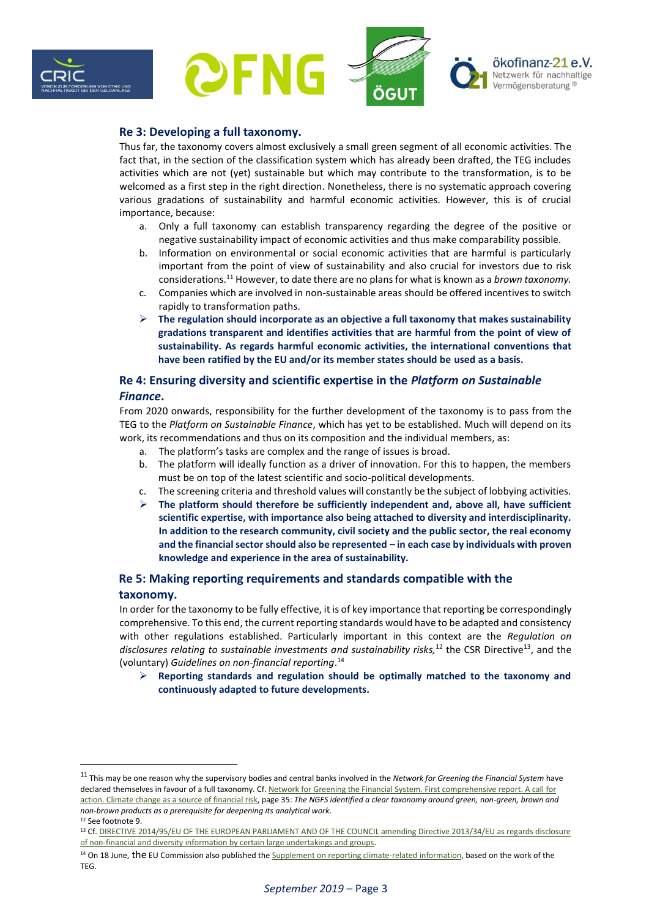



### **Re 3: Developing a full taxonomy.**

Thus far, the taxonomy covers almost exclusively a small green segment of all economic activities. The fact that, in the section of the classification system which has already been drafted, the TEG includes activities which are not (yet) sustainable but which may contribute to the transformation, is to be welcomed as a first step in the right direction. Nonetheless, there is no systematic approach covering various gradations of sustainability and harmful economic activities. However, this is of crucial importance, because:

- a. Only a full taxonomy can establish transparency regarding the degree of the positive or negative sustainability impact of economic activities and thus make comparability possible.
- b. Information on environmental or social economic activities that are harmful is particularly important from the point of view of sustainability and also crucial for investors due to risk considerations.<sup>11</sup> However, to date there are no plans for what is known as a *brown taxonomy.*
- c. Companies which are involved in non-sustainable areas should be offered incentives to switch rapidly to transformation paths.
- ➢ **The regulation should incorporate as an objective a full taxonomy that makes sustainability gradations transparent and identifies activities that are harmful from the point of view of sustainability. As regards harmful economic activities, the international conventions that have been ratified by the EU and/or its member states should be used as a basis.**

# **Re 4: Ensuring diversity and scientific expertise in the** *Platform on Sustainable Finance***.**

From 2020 onwards, responsibility for the further development of the taxonomy is to pass from the TEG to the *Platform on Sustainable Finance*, which has yet to be established. Much will depend on its work, its recommendations and thus on its composition and the individual members, as:

- a. The platform's tasks are complex and the range of issues is broad.
- b. The platform will ideally function as a driver of innovation. For this to happen, the members must be on top of the latest scientific and socio-political developments.
- c. The screening criteria and threshold values will constantly be the subject of lobbying activities.
- ➢ **The platform should therefore be sufficiently independent and, above all, have sufficient scientific expertise, with importance also being attached to diversity and interdisciplinarity. In addition to the research community, civil society and the public sector, the real economy and the financial sector should also be represented – in each case by individuals with proven knowledge and experience in the area of sustainability.**

# **Re 5: Making reporting requirements and standards compatible with the taxonomy.**

In order for the taxonomy to be fully effective, it is of key importance that reporting be correspondingly comprehensive. To this end, the current reporting standards would have to be adapted and consistency with other regulations established. Particularly important in this context are the *Regulation on*  disclosures relating to sustainable investments and sustainability risks,<sup>12</sup> the CSR Directive<sup>13</sup>, and the (voluntary) *Guidelines on non-financial reporting*. 14

➢ **Reporting standards and regulation should be optimally matched to the taxonomy and continuously adapted to future developments.**

<sup>11</sup> This may be one reason why the supervisory bodies and central banks involved in the *Network for Greening the Financial System* have declared themselves in favour of a full taxonomy. Cf[. Network for Greening the Financial System.](https://www.banque-france.fr/sites/default/files/media/2019/04/17/ngfs_first_comprehensive_report_-_17042019_0.pdf) [First comprehensive report.](https://www.banque-france.fr/sites/default/files/media/2019/04/17/ngfs_first_comprehensive_report_-_17042019_0.pdf) A call for [action.](https://www.banque-france.fr/sites/default/files/media/2019/04/17/ngfs_first_comprehensive_report_-_17042019_0.pdf) [Climate change as a source of financial risk,](https://www.banque-france.fr/sites/default/files/media/2019/04/17/ngfs_first_comprehensive_report_-_17042019_0.pdf) page 35: *The NGFS identified a clear taxonomy around green, non-green, brown and non-brown products as a prerequisite for deepening its analytical work*.

<sup>12</sup> See footnote 9.

<sup>13</sup> Cf. DIRECTIVE 2014/95/EU OF THE EUROPEAN PARLIAMENT AND OF THE COUNCIL amending Directive 2013/34/EU as regards disclosure [of non-financial and diversity information by certain large undertakings and groups.](https://eur-lex.europa.eu/LexUriServ/LexUriServ.do?uri=CELEX:32014L0095:EN:HTML)

<sup>&</sup>lt;sup>14</sup> On 18 June, the EU Commission also published the **Supplement on reporting climate-related information**, based on the work of the TEG.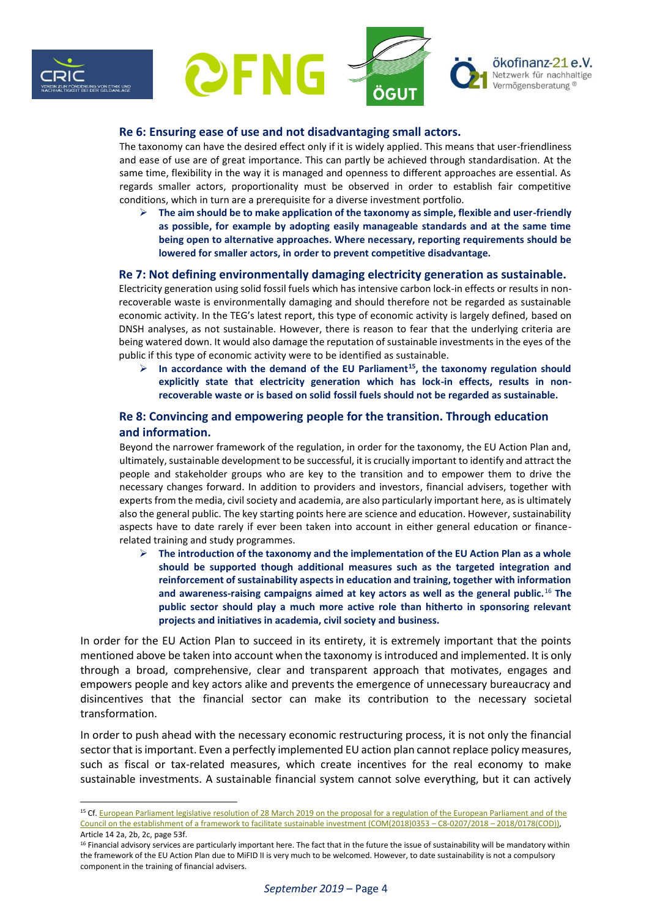



#### **Re 6: Ensuring ease of use and not disadvantaging small actors.**

The taxonomy can have the desired effect only if it is widely applied. This means that user-friendliness and ease of use are of great importance. This can partly be achieved through standardisation. At the same time, flexibility in the way it is managed and openness to different approaches are essential. As regards smaller actors, proportionality must be observed in order to establish fair competitive conditions, which in turn are a prerequisite for a diverse investment portfolio.

➢ **The aim should be to make application of the taxonomy as simple, flexible and user-friendly as possible, for example by adopting easily manageable standards and at the same time being open to alternative approaches. Where necessary, reporting requirements should be lowered for smaller actors, in order to prevent competitive disadvantage.**

#### **Re 7: Not defining environmentally damaging electricity generation as sustainable.**

Electricity generation using solid fossil fuels which has intensive carbon lock-in effects or results in nonrecoverable waste is environmentally damaging and should therefore not be regarded as sustainable economic activity. In the TEG's latest report, this type of economic activity is largely defined, based on DNSH analyses, as not sustainable. However, there is reason to fear that the underlying criteria are being watered down. It would also damage the reputation of sustainable investments in the eyes of the public if this type of economic activity were to be identified as sustainable.

➢ **In accordance with the demand of the EU Parliament<sup>15</sup>, the taxonomy regulation should explicitly state that electricity generation which has lock-in effects, results in nonrecoverable waste or is based on solid fossil fuels should not be regarded as sustainable.**

### **Re 8: Convincing and empowering people for the transition. Through education and information.**

Beyond the narrower framework of the regulation, in order for the taxonomy, the EU Action Plan and, ultimately, sustainable development to be successful, it is crucially important to identify and attract the people and stakeholder groups who are key to the transition and to empower them to drive the necessary changes forward. In addition to providers and investors, financial advisers, together with experts from the media, civil society and academia, are also particularly important here, as is ultimately also the general public. The key starting points here are science and education. However, sustainability aspects have to date rarely if ever been taken into account in either general education or financerelated training and study programmes.

➢ **The introduction of the taxonomy and the implementation of the EU Action Plan as a whole should be supported though additional measures such as the targeted integration and reinforcement of sustainability aspects in education and training, together with information and awareness-raising campaigns aimed at key actors as well as the general public.**<sup>16</sup> **The public sector should play a much more active role than hitherto in sponsoring relevant projects and initiatives in academia, civil society and business.**

In order for the EU Action Plan to succeed in its entirety, it is extremely important that the points mentioned above be taken into account when the taxonomy is introduced and implemented. It is only through a broad, comprehensive, clear and transparent approach that motivates, engages and empowers people and key actors alike and prevents the emergence of unnecessary bureaucracy and disincentives that the financial sector can make its contribution to the necessary societal transformation.

In order to push ahead with the necessary economic restructuring process, it is not only the financial sector that is important. Even a perfectly implemented EU action plan cannot replace policy measures, such as fiscal or tax-related measures, which create incentives for the real economy to make sustainable investments. A sustainable financial system cannot solve everything, but it can actively

<sup>&</sup>lt;sup>15</sup> Cf. European Parliament legislative resolution of 28 March 2019 on the proposal for a regulation of the European Parliament and of the [Council on the establishment of a framework to facilitate sustainable investment \(COM\(2018\)0353](http://www.europarl.europa.eu/doceo/document/TA-8-2019-0325_EN.pdf) – C8-0207/2018 – 2018/0178(COD)), Article 14 2a, 2b, 2c, page 53f.

<sup>&</sup>lt;sup>16</sup> Financial advisory services are particularly important here. The fact that in the future the issue of sustainability will be mandatory within the framework of the EU Action Plan due to MiFID II is very much to be welcomed. However, to date sustainability is not a compulsory component in the training of financial advisers.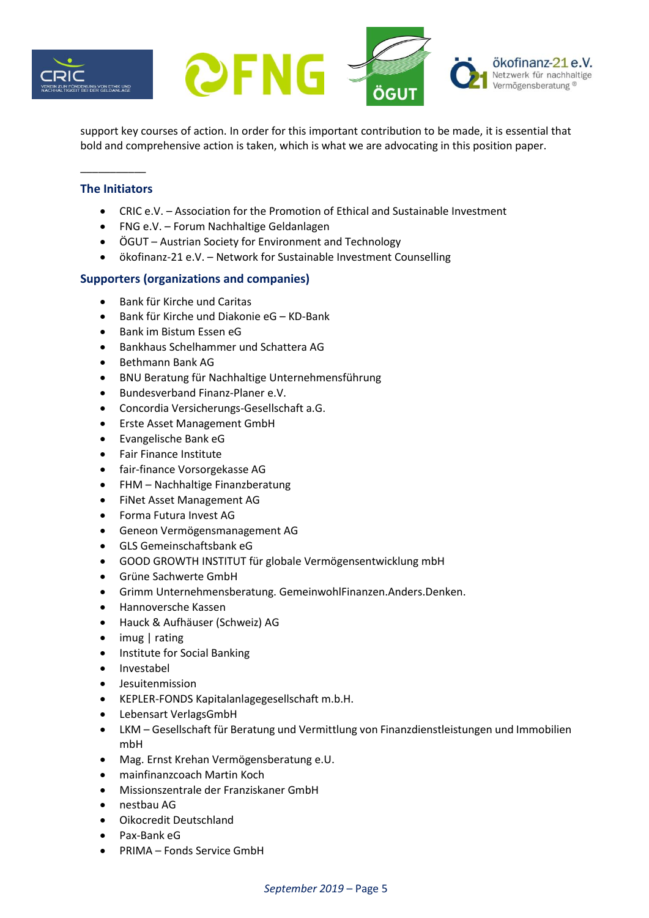



support key courses of action. In order for this important contribution to be made, it is essential that bold and comprehensive action is taken, which is what we are advocating in this position paper.

# **The Initiators**

\_\_\_\_\_\_\_\_\_\_\_

- CRIC e.V. Association for the Promotion of Ethical and Sustainable Investment
- FNG e.V. Forum Nachhaltige Geldanlagen
- ÖGUT Austrian Society for Environment and Technology
- ökofinanz-21 e.V. Network for Sustainable Investment Counselling

# **Supporters (organizations and companies)**

- Bank für Kirche und Caritas
- Bank für Kirche und Diakonie eG KD-Bank
- Bank im Bistum Essen eG
- Bankhaus Schelhammer und Schattera AG
- Bethmann Bank AG
- BNU Beratung für Nachhaltige Unternehmensführung
- Bundesverband Finanz-Planer e.V.
- Concordia Versicherungs-Gesellschaft a.G.
- Erste Asset Management GmbH
- Evangelische Bank eG
- Fair Finance Institute
- fair-finance Vorsorgekasse AG
- FHM Nachhaltige Finanzberatung
- FiNet Asset Management AG
- Forma Futura Invest AG
- Geneon Vermögensmanagement AG
- GLS Gemeinschaftsbank eG
- GOOD GROWTH INSTITUT für globale Vermögensentwicklung mbH
- Grüne Sachwerte GmbH
- Grimm Unternehmensberatung. GemeinwohlFinanzen.Anders.Denken.
- Hannoversche Kassen
- Hauck & Aufhäuser (Schweiz) AG
- imug | rating
- Institute for Social Banking
- Investabel
- Jesuitenmission
- KEPLER-FONDS Kapitalanlagegesellschaft m.b.H.
- Lebensart VerlagsGmbH
- LKM Gesellschaft für Beratung und Vermittlung von Finanzdienstleistungen und Immobilien mbH
- Mag. Ernst Krehan Vermögensberatung e.U.
- mainfinanzcoach Martin Koch
- Missionszentrale der Franziskaner GmbH
- nestbau AG
- Oikocredit Deutschland
- Pax-Bank eG
- PRIMA Fonds Service GmbH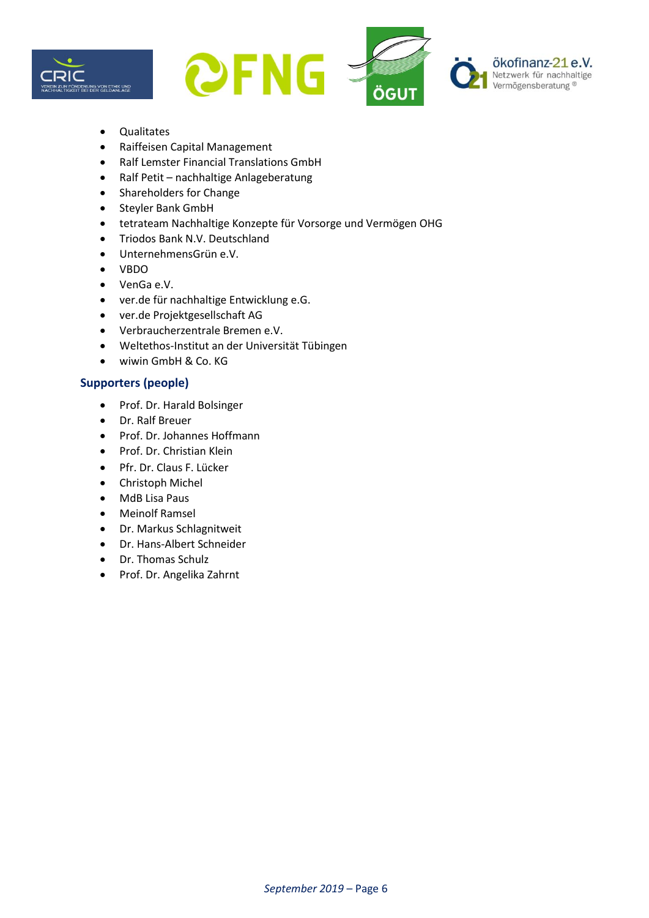



- Qualitates
- Raiffeisen Capital Management
- Ralf Lemster Financial Translations GmbH
- Ralf Petit nachhaltige Anlageberatung
- Shareholders for Change
- Steyler Bank GmbH
- tetrateam Nachhaltige Konzepte für Vorsorge und Vermögen OHG
- Triodos Bank N.V. Deutschland
- UnternehmensGrün e.V.
- VBDO
- VenGa e.V.
- ver.de für nachhaltige Entwicklung e.G.
- ver.de Projektgesellschaft AG
- Verbraucherzentrale Bremen e.V.
- Weltethos-Institut an der Universität Tübingen
- wiwin GmbH & Co. KG

### **Supporters (people)**

- Prof. Dr. Harald Bolsinger
- Dr. Ralf Breuer
- Prof. Dr. Johannes Hoffmann
- Prof. Dr. Christian Klein
- Pfr. Dr. Claus F. Lücker
- Christoph Michel
- MdB Lisa Paus
- Meinolf Ramsel
- Dr. Markus Schlagnitweit
- Dr. Hans-Albert Schneider
- Dr. Thomas Schulz
- Prof. Dr. Angelika Zahrnt